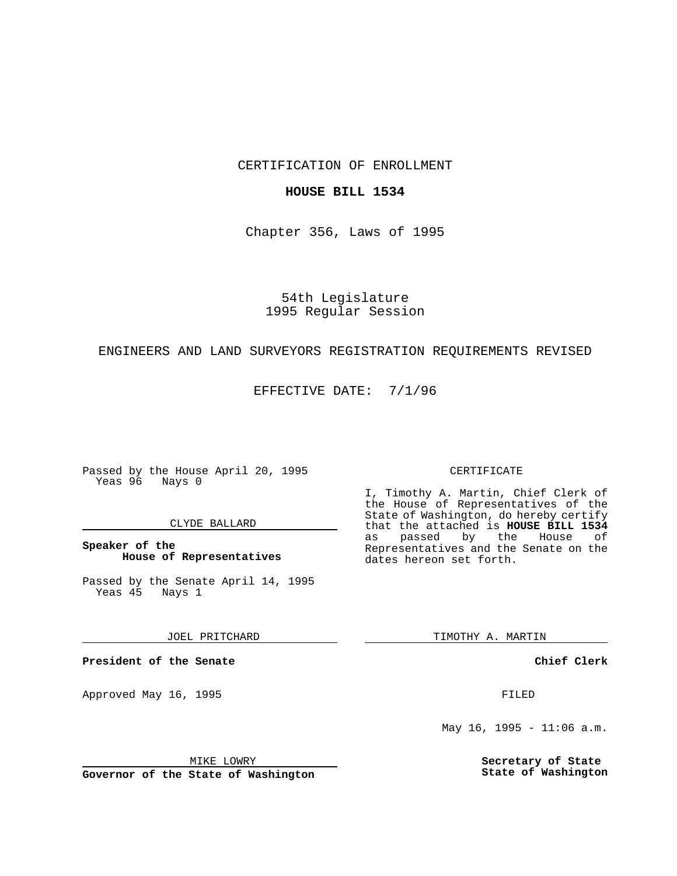CERTIFICATION OF ENROLLMENT

# **HOUSE BILL 1534**

Chapter 356, Laws of 1995

54th Legislature 1995 Regular Session

# ENGINEERS AND LAND SURVEYORS REGISTRATION REQUIREMENTS REVISED

EFFECTIVE DATE: 7/1/96

Passed by the House April 20, 1995 Yeas 96 Nays 0

### CLYDE BALLARD

**Speaker of the House of Representatives**

Passed by the Senate April 14, 1995<br>Yeas 45 Nays 1 Yeas 45

JOEL PRITCHARD

**President of the Senate**

Approved May 16, 1995 FILED

MIKE LOWRY

**Governor of the State of Washington**

#### CERTIFICATE

I, Timothy A. Martin, Chief Clerk of the House of Representatives of the State of Washington, do hereby certify that the attached is **HOUSE BILL 1534** as passed by the Representatives and the Senate on the dates hereon set forth.

TIMOTHY A. MARTIN

**Chief Clerk**

May 16, 1995 - 11:06  $a.m.$ 

**Secretary of State State of Washington**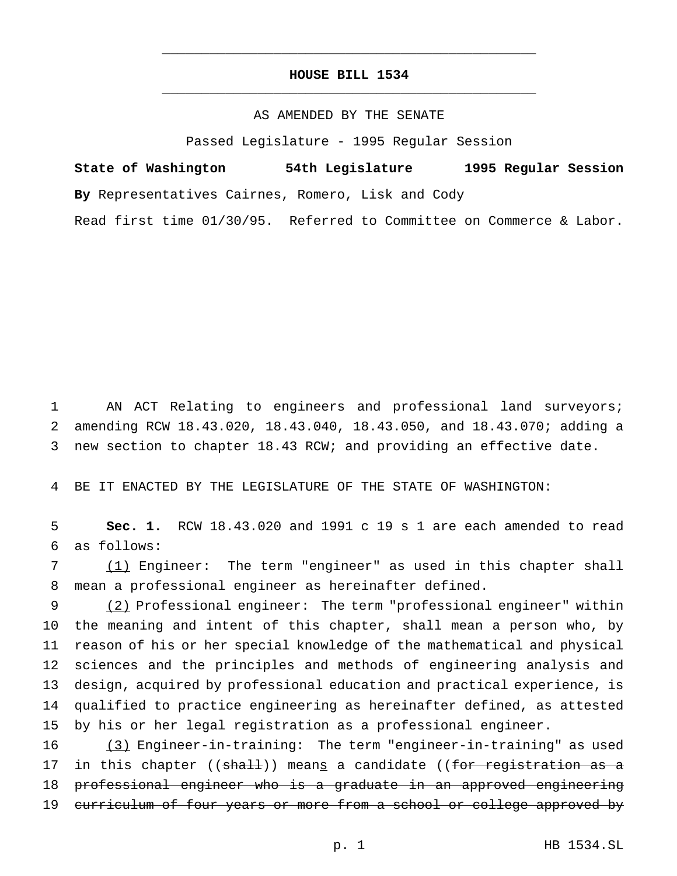# **HOUSE BILL 1534** \_\_\_\_\_\_\_\_\_\_\_\_\_\_\_\_\_\_\_\_\_\_\_\_\_\_\_\_\_\_\_\_\_\_\_\_\_\_\_\_\_\_\_\_\_\_\_

\_\_\_\_\_\_\_\_\_\_\_\_\_\_\_\_\_\_\_\_\_\_\_\_\_\_\_\_\_\_\_\_\_\_\_\_\_\_\_\_\_\_\_\_\_\_\_

# AS AMENDED BY THE SENATE

Passed Legislature - 1995 Regular Session

**State of Washington 54th Legislature 1995 Regular Session By** Representatives Cairnes, Romero, Lisk and Cody

Read first time 01/30/95. Referred to Committee on Commerce & Labor.

 AN ACT Relating to engineers and professional land surveyors; amending RCW 18.43.020, 18.43.040, 18.43.050, and 18.43.070; adding a new section to chapter 18.43 RCW; and providing an effective date.

BE IT ENACTED BY THE LEGISLATURE OF THE STATE OF WASHINGTON:

 **Sec. 1.** RCW 18.43.020 and 1991 c 19 s 1 are each amended to read as follows:

 (1) Engineer: The term "engineer" as used in this chapter shall mean a professional engineer as hereinafter defined.

 (2) Professional engineer: The term "professional engineer" within the meaning and intent of this chapter, shall mean a person who, by reason of his or her special knowledge of the mathematical and physical sciences and the principles and methods of engineering analysis and design, acquired by professional education and practical experience, is qualified to practice engineering as hereinafter defined, as attested by his or her legal registration as a professional engineer.

 (3) Engineer-in-training: The term "engineer-in-training" as used 17 in this chapter ((shall)) means a candidate ((for registration as a professional engineer who is a graduate in an approved engineering 19 curriculum of four years or more from a school or college approved by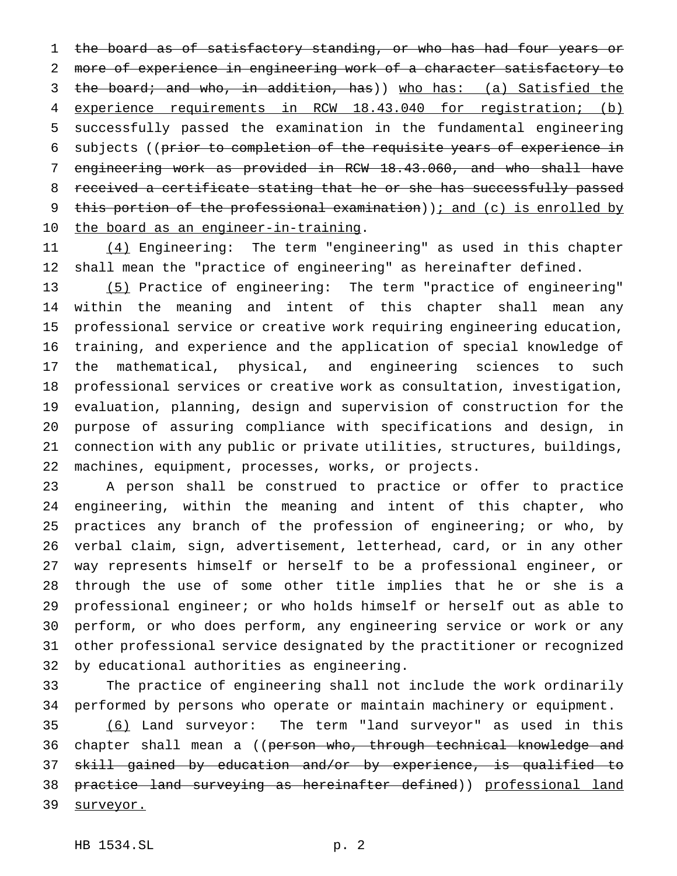the board as of satisfactory standing, or who has had four years or more of experience in engineering work of a character satisfactory to 3 the board; and who, in addition, has)) who has: (a) Satisfied the experience requirements in RCW 18.43.040 for registration; (b) successfully passed the examination in the fundamental engineering subjects ((prior to completion of the requisite years of experience in engineering work as provided in RCW 18.43.060, and who shall have received a certificate stating that he or she has successfully passed 9 this portion of the professional examination)); and (c) is enrolled by 10 the board as an engineer-in-training.

11 (4) Engineering: The term "engineering" as used in this chapter shall mean the "practice of engineering" as hereinafter defined.

 (5) Practice of engineering: The term "practice of engineering" within the meaning and intent of this chapter shall mean any professional service or creative work requiring engineering education, training, and experience and the application of special knowledge of the mathematical, physical, and engineering sciences to such professional services or creative work as consultation, investigation, evaluation, planning, design and supervision of construction for the purpose of assuring compliance with specifications and design, in connection with any public or private utilities, structures, buildings, machines, equipment, processes, works, or projects.

 A person shall be construed to practice or offer to practice engineering, within the meaning and intent of this chapter, who practices any branch of the profession of engineering; or who, by verbal claim, sign, advertisement, letterhead, card, or in any other way represents himself or herself to be a professional engineer, or through the use of some other title implies that he or she is a professional engineer; or who holds himself or herself out as able to perform, or who does perform, any engineering service or work or any other professional service designated by the practitioner or recognized by educational authorities as engineering.

 The practice of engineering shall not include the work ordinarily performed by persons who operate or maintain machinery or equipment.

 (6) Land surveyor: The term "land surveyor" as used in this 36 chapter shall mean a ((person who, through technical knowledge and skill gained by education and/or by experience, is qualified to 38 practice land surveying as hereinafter defined)) professional land 39 surveyor.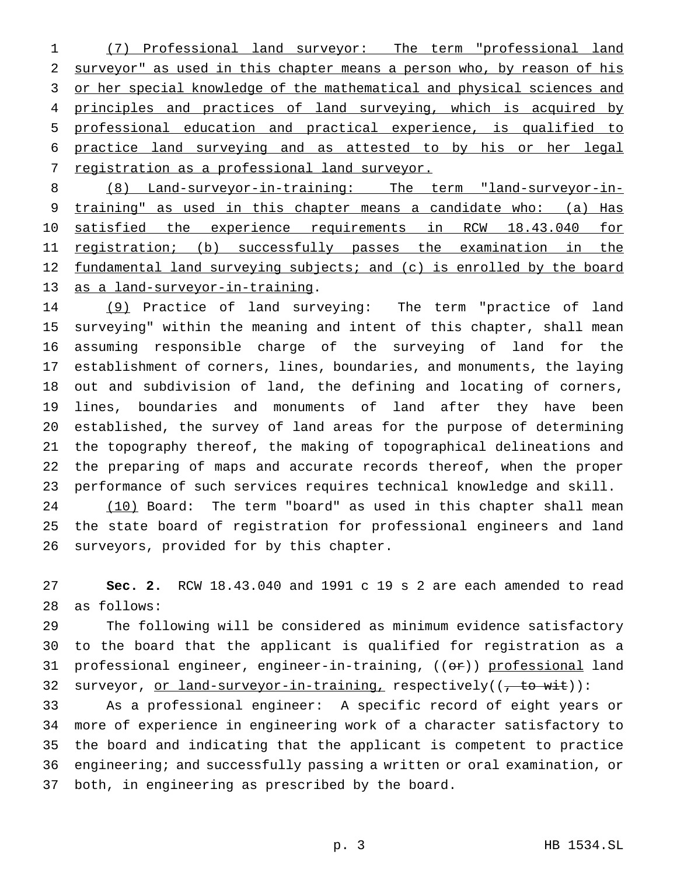(7) Professional land surveyor: The term "professional land surveyor" as used in this chapter means a person who, by reason of his 3 or her special knowledge of the mathematical and physical sciences and principles and practices of land surveying, which is acquired by professional education and practical experience, is qualified to practice land surveying and as attested to by his or her legal 7 registration as a professional land surveyor.

 (8) Land-surveyor-in-training: The term "land-surveyor-in- training" as used in this chapter means a candidate who: (a) Has satisfied the experience requirements in RCW 18.43.040 for registration; (b) successfully passes the examination in the 12 fundamental land surveying subjects; and (c) is enrolled by the board as a land-surveyor-in-training.

 (9) Practice of land surveying: The term "practice of land surveying" within the meaning and intent of this chapter, shall mean assuming responsible charge of the surveying of land for the establishment of corners, lines, boundaries, and monuments, the laying out and subdivision of land, the defining and locating of corners, lines, boundaries and monuments of land after they have been established, the survey of land areas for the purpose of determining the topography thereof, the making of topographical delineations and the preparing of maps and accurate records thereof, when the proper performance of such services requires technical knowledge and skill.

 (10) Board: The term "board" as used in this chapter shall mean the state board of registration for professional engineers and land surveyors, provided for by this chapter.

 **Sec. 2.** RCW 18.43.040 and 1991 c 19 s 2 are each amended to read as follows:

 The following will be considered as minimum evidence satisfactory to the board that the applicant is qualified for registration as a 31 professional engineer, engineer-in-training, ((or)) professional land 32 surveyor, or land-surveyor-in-training, respectively((, to wit)):

 As a professional engineer: A specific record of eight years or more of experience in engineering work of a character satisfactory to the board and indicating that the applicant is competent to practice engineering; and successfully passing a written or oral examination, or both, in engineering as prescribed by the board.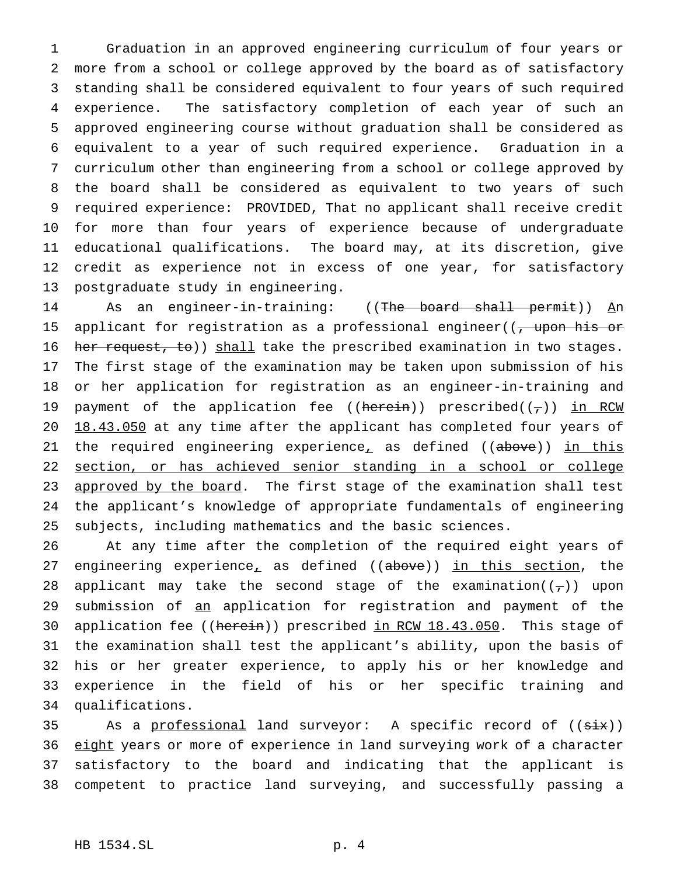Graduation in an approved engineering curriculum of four years or more from a school or college approved by the board as of satisfactory standing shall be considered equivalent to four years of such required experience. The satisfactory completion of each year of such an approved engineering course without graduation shall be considered as equivalent to a year of such required experience. Graduation in a curriculum other than engineering from a school or college approved by the board shall be considered as equivalent to two years of such required experience: PROVIDED, That no applicant shall receive credit for more than four years of experience because of undergraduate educational qualifications. The board may, at its discretion, give credit as experience not in excess of one year, for satisfactory postgraduate study in engineering.

14 As an engineer-in-training: ((The board shall permit)) An 15 applicant for registration as a professional engineer( $\frac{1}{1}$  upon his or 16 her request, to)) shall take the prescribed examination in two stages. The first stage of the examination may be taken upon submission of his or her application for registration as an engineer-in-training and 19 payment of the application fee ((herein)) prescribed( $(\tau)$ ) in RCW 20 18.43.050 at any time after the applicant has completed four years of 21 the required engineering experience<sub>r</sub> as defined ((above)) in this section, or has achieved senior standing in a school or college 23 approved by the board. The first stage of the examination shall test the applicant's knowledge of appropriate fundamentals of engineering subjects, including mathematics and the basic sciences.

 At any time after the completion of the required eight years of 27 engineering experience<sub>r</sub> as defined ((above)) in this section, the 28 applicant may take the second stage of the examination( $(\tau)$ ) upon 29 submission of an application for registration and payment of the 30 application fee ((herein)) prescribed in RCW 18.43.050. This stage of the examination shall test the applicant's ability, upon the basis of his or her greater experience, to apply his or her knowledge and experience in the field of his or her specific training and qualifications.

35 As a professional land surveyor: A specific record of ((six)) 36 eight years or more of experience in land surveying work of a character satisfactory to the board and indicating that the applicant is competent to practice land surveying, and successfully passing a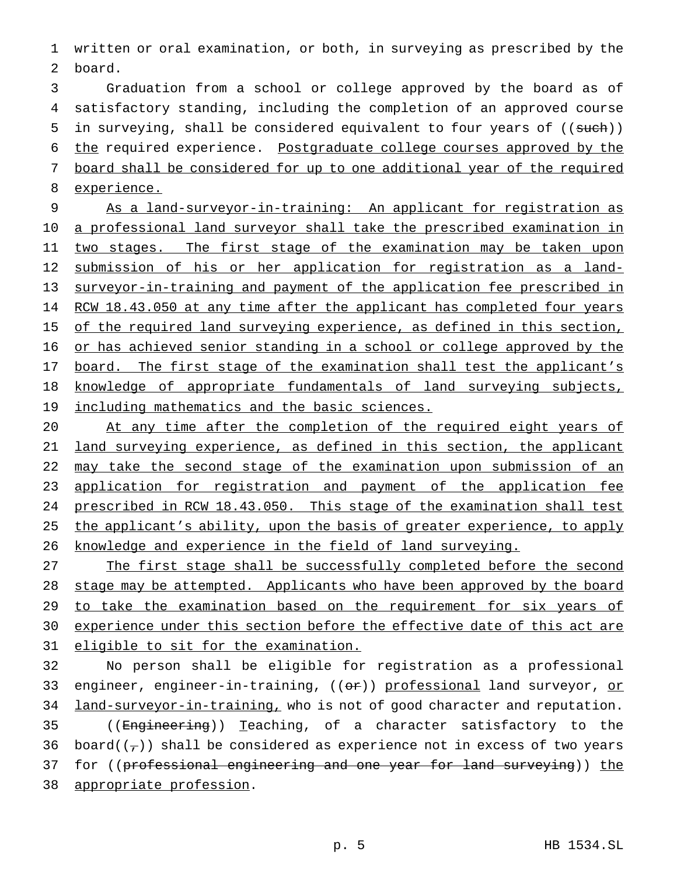1 written or oral examination, or both, in surveying as prescribed by the 2 board.

 Graduation from a school or college approved by the board as of satisfactory standing, including the completion of an approved course 5 in surveying, shall be considered equivalent to four years of ((such)) the required experience. Postgraduate college courses approved by the board shall be considered for up to one additional year of the required experience.

9 As a land-surveyor-in-training: An applicant for registration as 10 a professional land surveyor shall take the prescribed examination in 11 two stages. The first stage of the examination may be taken upon 12 submission of his or her application for registration as a land-13 surveyor-in-training and payment of the application fee prescribed in 14 RCW 18.43.050 at any time after the applicant has completed four years 15 of the required land surveying experience, as defined in this section, 16 or has achieved senior standing in a school or college approved by the 17 board. The first stage of the examination shall test the applicant's 18 knowledge of appropriate fundamentals of land surveying subjects, 19 including mathematics and the basic sciences.

20 At any time after the completion of the required eight years of 21 land surveying experience, as defined in this section, the applicant 22 may take the second stage of the examination upon submission of an 23 application for registration and payment of the application fee 24 prescribed in RCW 18.43.050. This stage of the examination shall test 25 the applicant's ability, upon the basis of greater experience, to apply 26 knowledge and experience in the field of land surveying.

27 The first stage shall be successfully completed before the second 28 stage may be attempted. Applicants who have been approved by the board 29 to take the examination based on the requirement for six years of 30 experience under this section before the effective date of this act are 31 eligible to sit for the examination.

32 No person shall be eligible for registration as a professional 33 engineer, engineer-in-training, ((or)) professional land surveyor, or 34 land-surveyor-in-training, who is not of good character and reputation. 35 ((Engineering)) Teaching, of a character satisfactory to the 36 board( $(\tau)$ ) shall be considered as experience not in excess of two years 37 for ((professional engineering and one year for land surveying)) the 38 appropriate profession.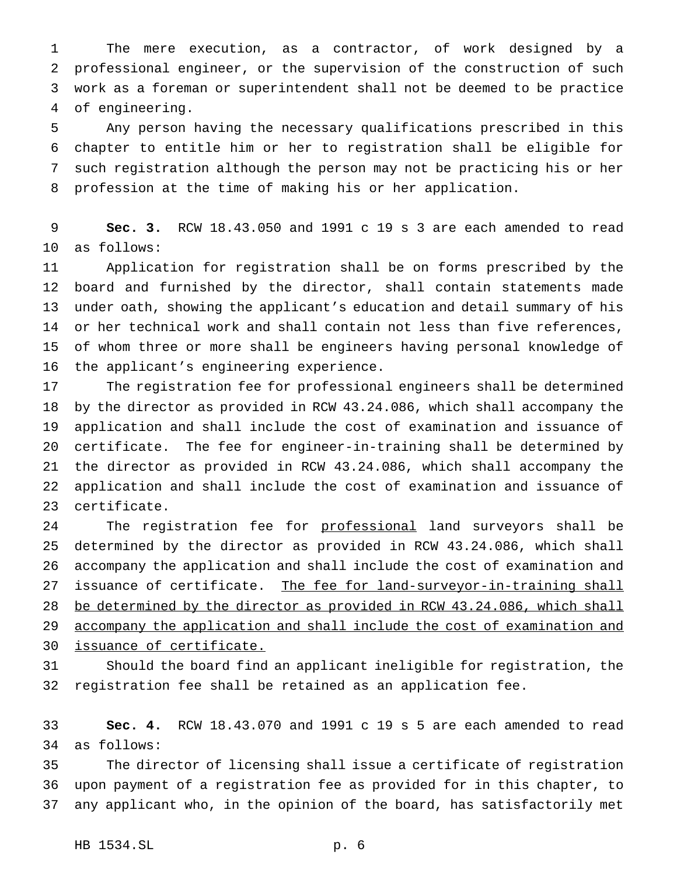The mere execution, as a contractor, of work designed by a professional engineer, or the supervision of the construction of such work as a foreman or superintendent shall not be deemed to be practice of engineering.

 Any person having the necessary qualifications prescribed in this chapter to entitle him or her to registration shall be eligible for such registration although the person may not be practicing his or her profession at the time of making his or her application.

 **Sec. 3.** RCW 18.43.050 and 1991 c 19 s 3 are each amended to read as follows:

 Application for registration shall be on forms prescribed by the board and furnished by the director, shall contain statements made under oath, showing the applicant's education and detail summary of his or her technical work and shall contain not less than five references, of whom three or more shall be engineers having personal knowledge of the applicant's engineering experience.

 The registration fee for professional engineers shall be determined by the director as provided in RCW 43.24.086, which shall accompany the application and shall include the cost of examination and issuance of certificate. The fee for engineer-in-training shall be determined by the director as provided in RCW 43.24.086, which shall accompany the application and shall include the cost of examination and issuance of certificate.

24 The registration fee for professional land surveyors shall be determined by the director as provided in RCW 43.24.086, which shall accompany the application and shall include the cost of examination and 27 issuance of certificate. The fee for land-surveyor-in-training shall be determined by the director as provided in RCW 43.24.086, which shall accompany the application and shall include the cost of examination and issuance of certificate.

 Should the board find an applicant ineligible for registration, the registration fee shall be retained as an application fee.

 **Sec. 4.** RCW 18.43.070 and 1991 c 19 s 5 are each amended to read as follows:

 The director of licensing shall issue a certificate of registration upon payment of a registration fee as provided for in this chapter, to any applicant who, in the opinion of the board, has satisfactorily met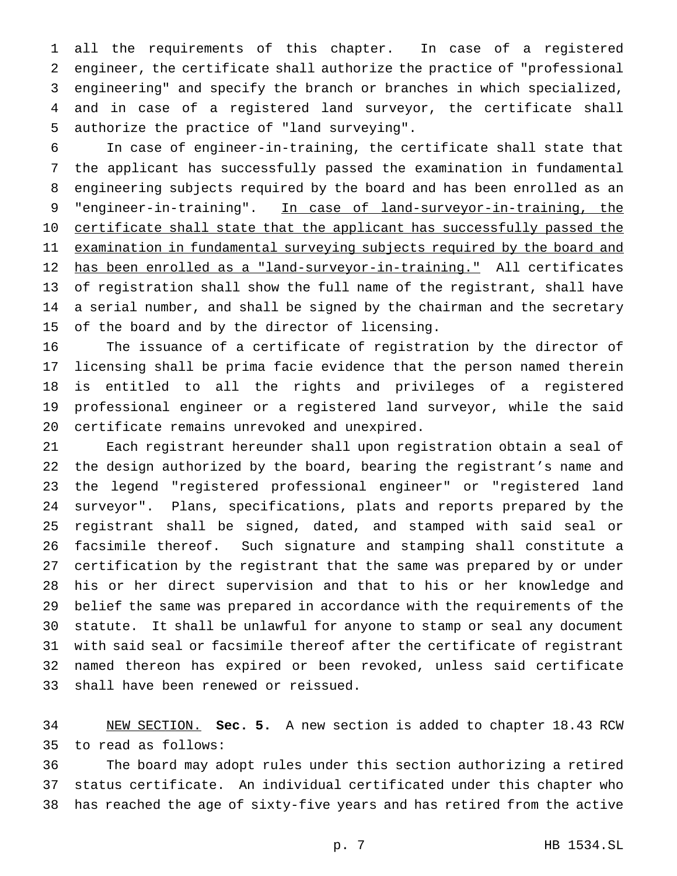all the requirements of this chapter. In case of a registered engineer, the certificate shall authorize the practice of "professional engineering" and specify the branch or branches in which specialized, and in case of a registered land surveyor, the certificate shall authorize the practice of "land surveying".

 In case of engineer-in-training, the certificate shall state that the applicant has successfully passed the examination in fundamental engineering subjects required by the board and has been enrolled as an 9 "engineer-in-training". In case of land-surveyor-in-training, the 10 certificate shall state that the applicant has successfully passed the 11 examination in fundamental surveying subjects required by the board and has been enrolled as a "land-surveyor-in-training." All certificates of registration shall show the full name of the registrant, shall have a serial number, and shall be signed by the chairman and the secretary of the board and by the director of licensing.

 The issuance of a certificate of registration by the director of licensing shall be prima facie evidence that the person named therein is entitled to all the rights and privileges of a registered professional engineer or a registered land surveyor, while the said certificate remains unrevoked and unexpired.

 Each registrant hereunder shall upon registration obtain a seal of the design authorized by the board, bearing the registrant's name and the legend "registered professional engineer" or "registered land surveyor". Plans, specifications, plats and reports prepared by the registrant shall be signed, dated, and stamped with said seal or facsimile thereof. Such signature and stamping shall constitute a certification by the registrant that the same was prepared by or under his or her direct supervision and that to his or her knowledge and belief the same was prepared in accordance with the requirements of the statute. It shall be unlawful for anyone to stamp or seal any document with said seal or facsimile thereof after the certificate of registrant named thereon has expired or been revoked, unless said certificate shall have been renewed or reissued.

 NEW SECTION. **Sec. 5.** A new section is added to chapter 18.43 RCW to read as follows:

 The board may adopt rules under this section authorizing a retired status certificate. An individual certificated under this chapter who has reached the age of sixty-five years and has retired from the active